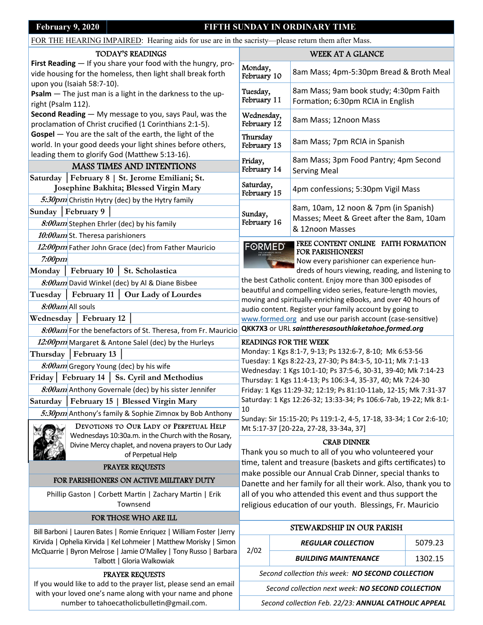#### February 9, 2020 **FIFTH SUNDAY IN ORDINARY TIME**

FOR THE HEARING IMPAIRED: Hearing aids for use are in the sacristy—please return them after Mass.

#### TODAY'S READINGS WEEK AT A GLANCE **First Reading** — If you share your food with the hungry, pro‐ Monday,<br>February 10 vide housing for the homeless, then light shall break forth 8am Mass; 4pm-5:30pm Bread & Broth Meal upon you (Isaiah 58:7‐10). Tuesday, 8am Mass; 9am book study; 4:30pm Faith **Psalm** — The just man is a light in the darkness to the up‐ February 11 Formation; 6:30pm RCIA in English right (Psalm 112). **Second Reading** — My message to you, says Paul, was the Wednesday,<br>February 12 8am Mass; 12noon Mass proclamation of Christ crucified (1 Corinthians 2:1-5). **Gospel** - You are the salt of the earth, the light of the Thursday<br>February 13 8am Mass; 7pm RCIA in Spanish world. In your good deeds your light shines before others, leading them to glorify God (Matthew 5:13-16). Friday, 8am Mass; 3pm Food Pantry; 4pm Second MASS TIMES AND INTENTIONS February 14 Serving Meal **Saturday │February 8 | St. Jerome Emiliani; St.**  Saturday,<br>February 15 **Josephine Bakhita; Blessed Virgin Mary**  4pm confessions; 5:30pm Vigil Mass 5:30pm Christin Hytry (dec) by the Hytry family 8am, 10am, 12 noon & 7pm (in Spanish) **Sunday │February 9 │** Sunday, Masses; Meet & Greet after the 8am, 10am 8:00am Stephen Ehrler (dec) by his family February 16 & 12noon Masses **10:00am** St. Theresa parishioners FREE CONTENT ONLINE FAITH FORMATION **FORMED® 12:00pm** Father John Grace (dec) from Father Mauricio FOR PARISHIONERS! **7:00pm**  Now every parishioner can experience hun‐ dreds of hours viewing, reading, and listening to **Monday │ February 10 │ St. Scholastica**  the best Catholic content. Enjoy more than 300 episodes of **8:00am** David Winkel (dec) by Al & Diane Bisbee beautiful and compelling video series, feature-length movies, **Tuesday │ February 11 │ Our Lady of Lourdes**  moving and spiritually‐enriching eBooks, and over 40 hours of **8:00am** All souls audio content. Register your family account by going to **Wednesday │ February 12 │** www.formed.org and use our parish account (case-sensitive) **QKK7X3** or URL *sainƩheresasouthlaketahoe.formed.org* **8:00am** For the benefactors of St. Theresa, from Fr. Mauricio READINGS FOR THE WEEK 12:00pm Margaret & Antone Salel (dec) by the Hurleys Monday: 1 Kgs 8:1‐7, 9‐13; Ps 132:6‐7, 8‐10; Mk 6:53‐56 **Thursday │February 13 │** Tuesday: 1 Kgs 8:22‐23, 27‐30; Ps 84:3‐5, 10‐11; Mk 7:1‐13 **8:00am** Gregory Young (dec) by his wife Wednesday: 1 Kgs 10:1‐10; Ps 37:5‐6, 30‐31, 39‐40; Mk 7:14‐23 **Friday│ February 14 │ Ss. Cyril and Methodius**  Thursday: 1 Kgs 11:4‐13; Ps 106:3‐4, 35‐37, 40; Mk 7:24‐30 **8:00am** Anthony Governale (dec) by his sister Jennifer Friday: 1 Kgs 11:29‐32; 12:19; Ps 81:10‐11ab, 12‐15; Mk 7:31‐37 Saturday: 1 Kgs 12:26‐32; 13:33‐34; Ps 106:6‐7ab, 19‐22; Mk 8:1‐ **Saturday │February 15 | Blessed Virgin Mary**  10 **5:30pm** Anthony's family & Sophie Zimnox by Bob Anthony Sunday: Sir 15:15‐20; Ps 119:1‐2, 4‐5, 17‐18, 33‐34; 1 Cor 2:6‐10; DEVOTIONS TO OUR LADY OF PERPETUAL HELP Mt 5:17‐37 [20‐22a, 27‐28, 33‐34a, 37] Wednesdays 10:30a.m. in the Church with the Rosary, CRAB DINNER Divine Mercy chaplet, and novena prayers to Our Lady Thank you so much to all of you who volunteered your of Perpetual Help i time, talent and treasure (baskets and gifts certificates) to PRAYER REQUESTS make possible our Annual Crab Dinner, special thanks to FOR PARISHIONERS ON ACTIVE MILITARY DUTY Danette and her family for all their work. Also, thank you to Phillip Gaston | Corbett Martin | Zachary Martin | Erik all of you who attended this event and thus support the Townsend religious education of our youth. Blessings, Fr. Mauricio FOR THOSE WHO ARE ILL STEWARDSHIP IN OUR PARISH Bill Barboni | Lauren Bates | Romie Enriquez | William Foster |Jerry Kirvida | Ophelia Kirvida | Kel Lohmeier | Matthew Morisky | Simon *REGULAR COLLECTION* 5079.23 McQuarrie | Byron Melrose | Jamie O'Malley | Tony Russo | Barbara 2/02 *BUILDING MAINTENANCE* 1302.15 Talbott | Gloria Walkowiak *Second collecƟon this week: NO SECOND COLLECTION* PRAYER REQUESTS If you would like to add to the prayer list, please send an email *Second collecƟon next week: NO SECOND COLLECTION*  with your loved one's name along with your name and phone

number to tahoecatholicbulletin@gmail.com.

*Second collecƟon Feb. 22/23: ANNUAL CATHOLIC APPEAL*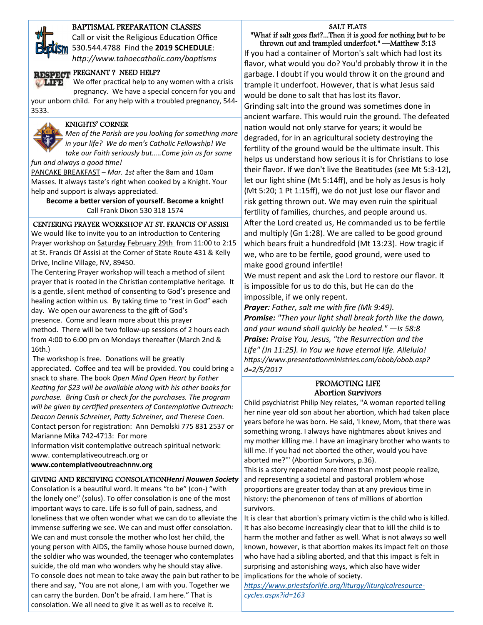

#### BAPTISMAL PREPARATION CLASSES

 *hƩp://www.tahoecatholic.com/bapƟsms* Call or visit the Religious Education Office 530.544.4788 Find the **2019 SCHEDULE**:

#### **RESPECT** PREGNANT? NEED HELP?

 pregnancy. We have a special concern for you and We offer practical help to any women with a crisis your unborn child. For any help with a troubled pregnancy, 544‐ 3533.



#### KNIGHTS' CORNER

 *take our Faith seriously but…..Come join us for some Men of the Parish are you looking for something more in your life? We do men's Catholic Fellowship! We fun and always a good Ɵme!* 

PANCAKE BREAKFAST - Mar. 1st after the 8am and 10am Masses. It always taste's right when cooked by a Knight. Your help and support is always appreciated.

**Become a beƩer version of yourself. Become a knight!** Call Frank Dixon 530 318 1574

#### CENTERING PRAYER WORKSHOP AT ST. FRANCIS OF ASSISI

We would like to invite you to an introduction to Centering Prayer workshop on Saturday February 29th from 11:00 to 2:15 at St. Francis Of Assisi at the Corner of State Route 431 & Kelly Drive, Incline Village, NV, 89450.

The Centering Prayer workshop will teach a method of silent prayer that is rooted in the Christian contemplative heritage. It is a gentle, silent method of consenting to God's presence and healing action within us. By taking time to "rest in God" each day. We open our awareness to the gift of God's presence. Come and learn more about this prayer method. There will be two follow-up sessions of 2 hours each from 4:00 to 6:00 pm on Mondays thereafter (March 2nd & 16th.)

The workshop is free. Donations will be greatly appreciated. Coffee and tea will be provided. You could bring a snack to share. The book *Open Mind Open Heart by Father KeaƟng for \$23 will be available along with his other books for purchase. Bring Cash or check for the purchases. The program will be given by cerƟfied presenters of ContemplaƟve Outreach: Deacon Dennis Schreiner, PaƩy Schreiner, and Therese Coen.* Contact person for registration: Ann Demolski 775 831 2537 or Marianne Mika 742‐4713: For more

Information visit contemplative outreach spiritual network: www. contemplativeoutreach.org or

#### **www.contemplaƟveoutreachnnv.org**

#### GIVING AND RECEIVING CONSOLATION*Henri Nouwen Society*

Consolation is a beautiful word. It means "to be" (con-) "with the lonely one" (solus). To offer consolation is one of the most important ways to care. Life is so full of pain, sadness, and loneliness that we often wonder what we can do to alleviate the immense suffering we see. We can and must offer consolation. We can and must console the mother who lost her child, the young person with AIDS, the family whose house burned down, the soldier who was wounded, the teenager who contemplates suicide, the old man who wonders why he should stay alive. To console does not mean to take away the pain but rather to be there and say, "You are not alone, I am with you. Together we can carry the burden. Don't be afraid. I am here." That is consolation. We all need to give it as well as to receive it.

#### SALT FLATS

"What if salt goes flat?...Then it is good for nothing but to be thrown out and trampled underfoot." —Matthew 5:13

If you had a container of Morton's salt which had lost its flavor, what would you do? You'd probably throw it in the garbage. I doubt if you would throw it on the ground and trample it underfoot. However, that is what Jesus said would be done to salt that has lost its flavor. Grinding salt into the ground was sometimes done in ancient warfare. This would ruin the ground. The defeated nation would not only starve for years; it would be degraded, for in an agricultural society destroying the fertility of the ground would be the ultimate insult. This helps us understand how serious it is for Christians to lose their flavor. If we don't live the Beatitudes (see Mt 5:3-12), let our light shine (Mt 5:14ff), and be holy as Jesus is holy (Mt 5:20; 1 Pt 1:15ff), we do not just lose our flavor and risk getting thrown out. We may even ruin the spiritual fertility of families, churches, and people around us. After the Lord created us, He commanded us to be fertile and multiply (Gn 1:28). We are called to be good ground which bears fruit a hundredfold (Mt 13:23). How tragic if we, who are to be fertile, good ground, were used to make good ground infertile!

We must repent and ask the Lord to restore our flavor. It is impossible for us to do this, but He can do the impossible, if we only repent.

*Prayer: Father, salt me with fire (Mk 9:49). Promise: "Then your light shall break forth like the dawn, and your wound shall quickly be healed." —Is 58:8*  **Praise:** Praise You, Jesus, "the Resurrection and the *Life" (Jn 11:25). In You we have eternal life. Alleluia! hƩps://www.presentaƟonministries.com/obob/obob.asp? d=2/5/2017* 

#### PROMOTING LIFE Abortion Survivors

Child psychiatrist Philip Ney relates, "A woman reported telling her nine year old son about her abortion, which had taken place years before he was born. He said, 'I knew, Mom, that there was something wrong. I always have nightmares about knives and my mother killing me. I have an imaginary brother who wants to kill me. If you had not aborted the other, would you have aborted me?"" (Abortion Survivors, p.36).

This is a story repeated more times than most people realize, and representing a societal and pastoral problem whose proportions are greater today than at any previous time in history: the phenomenon of tens of millions of abortion survivors.

It is clear that abortion's primary victim is the child who is killed. It has also become increasingly clear that to kill the child is to harm the mother and father as well. What is not always so well known, however, is that abortion makes its impact felt on those who have had a sibling aborted, and that this impact is felt in surprising and astonishing ways, which also have wider implications for the whole of society.

*hƩps://www.priestsforlife.org/liturgy/liturgicalresource‐ cycles.aspx?id=163*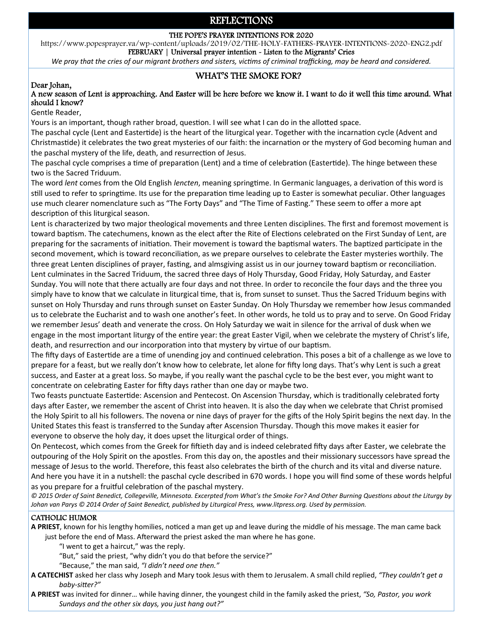### REFLECTIONS

#### THE POPE'S PRAYER INTENTIONS FOR 2020

https://www.popesprayer.va/wp-content/uploads/2019/02/THE-HOLY-FATHERS-PRAYER-INTENTIONS-2020-ENG2.pdf FEBRUARY | Universal prayer intention - Listen to the Migrants' Cries

*We pray that the cries of our migrant brothers and sisters, victims of criminal trafficking, may be heard and considered.* 

# WHAT'S THE SMOKE FOR? Dear Johan,

#### A new season of Lent is approaching. And Easter will be here before we know it. I want to do it well this time around. What should I know?

Gentle Reader,

Yours is an important, though rather broad, question. I will see what I can do in the allotted space.

The paschal cycle (Lent and Eastertide) is the heart of the liturgical year. Together with the incarnation cycle (Advent and Christmastide) it celebrates the two great mysteries of our faith: the incarnation or the mystery of God becoming human and the paschal mystery of the life, death, and resurrection of Jesus.

The paschal cycle comprises a time of preparation (Lent) and a time of celebration (Eastertide). The hinge between these two is the Sacred Triduum.

The word *lent* comes from the Old English *lencten*, meaning springtime. In Germanic languages, a derivation of this word is still used to refer to springtime. Its use for the preparation time leading up to Easter is somewhat peculiar. Other languages use much clearer nomenclature such as "The Forty Days" and "The Time of Fasting." These seem to offer a more apt description of this liturgical season.

Lent is characterized by two major theological movements and three Lenten disciplines. The first and foremost movement is toward baptism. The catechumens, known as the elect after the Rite of Elections celebrated on the First Sunday of Lent, are preparing for the sacraments of initiation. Their movement is toward the baptismal waters. The baptized participate in the second movement, which is toward reconciliation, as we prepare ourselves to celebrate the Easter mysteries worthily. The three great Lenten disciplines of prayer, fasting, and almsgiving assist us in our journey toward baptism or reconciliation. Lent culminates in the Sacred Triduum, the sacred three days of Holy Thursday, Good Friday, Holy Saturday, and Easter Sunday. You will note that there actually are four days and not three. In order to reconcile the four days and the three you simply have to know that we calculate in liturgical time, that is, from sunset to sunset. Thus the Sacred Triduum begins with sunset on Holy Thursday and runs through sunset on Easter Sunday. On Holy Thursday we remember how Jesus commanded us to celebrate the Eucharist and to wash one another's feet. In other words, he told us to pray and to serve. On Good Friday we remember Jesus' death and venerate the cross. On Holy Saturday we wait in silence for the arrival of dusk when we engage in the most important liturgy of the entire year: the great Easter Vigil, when we celebrate the mystery of Christ's life, death, and resurrection and our incorporation into that mystery by virtue of our baptism.

The fifty days of Eastertide are a time of unending joy and continued celebration. This poses a bit of a challenge as we love to prepare for a feast, but we really don't know how to celebrate, let alone for fifty long days. That's why Lent is such a great success, and Easter at a great loss. So maybe, if you really want the paschal cycle to be the best ever, you might want to concentrate on celebrating Easter for fifty days rather than one day or maybe two.

Two feasts punctuate Eastertide: Ascension and Pentecost. On Ascension Thursday, which is traditionally celebrated forty days after Easter, we remember the ascent of Christ into heaven. It is also the day when we celebrate that Christ promised the Holy Spirit to all his followers. The novena or nine days of prayer for the gifts of the Holy Spirit begins the next day. In the United States this feast is transferred to the Sunday after Ascension Thursday. Though this move makes it easier for everyone to observe the holy day, it does upset the liturgical order of things.

On Pentecost, which comes from the Greek for fiftieth day and is indeed celebrated fifty days after Easter, we celebrate the outpouring of the Holy Spirit on the apostles. From this day on, the apostles and their missionary successors have spread the message of Jesus to the world. Therefore, this feast also celebrates the birth of the church and its vital and diverse nature. And here you have it in a nutshell: the paschal cycle described in 670 words. I hope you will find some of these words helpful

as you prepare for a fruitful celebration of the paschal mystery.

 $O$  2015 Order of Saint Benedict, Collegeville, Minnesota. Excerpted from What's the Smoke For? And Other Burning Questions about the Liturgy by *Johan van Parys © 2014 Order of Saint Benedict, published by Liturgical Press, www.litpress.org. Used by permission.* 

#### CATHOLIC HUMOR

**A PRIEST**, known for his lengthy homilies, noƟced a man get up and leave during the middle of his message. The man came back just before the end of Mass. Afterward the priest asked the man where he has gone.

"I went to get a haircut," was the reply.

"But," said the priest, "why didn't you do that before the service?"

"Because," the man said, *"I didn't need one then."*

- **A CATECHIST** asked her class why Joseph and Mary took Jesus with them to Jerusalem. A small child replied, *"They couldn't get a baby‐siƩer?"*
- **A PRIEST** was invited for dinner… while having dinner, the youngest child in the family asked the priest, *"So, Pastor, you work Sundays and the other six days, you just hang out?"*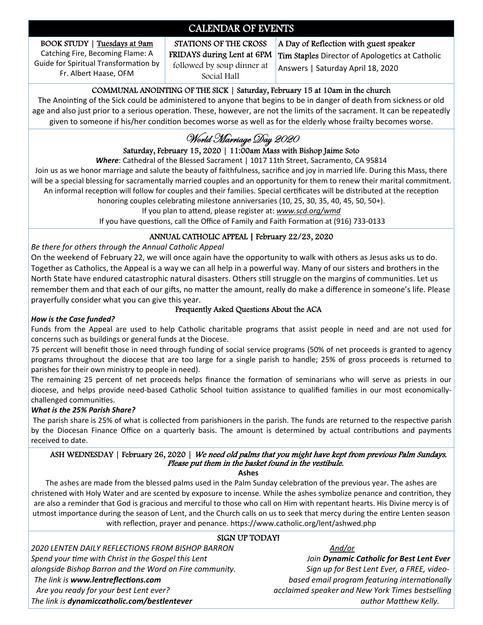## CALENDAR OF EVENTS

#### BOOK STUDY | Tuesdays at 9am

Catching Fire, Becoming Flame: A Guide for Spiritual Transformation by Fr. Albert Haase, OFM

STATIONS OF THE CROSS FRIDAYS during Lent at 6PM followed by soup dinner at Social Hall

A Day of Reflection with guest speaker

Tim Staples Director of Apologetics at Catholic Answers | Saturday April 18, 2020

#### COMMUNAL ANOINTING OF THE SICK | Saturday, February 15 at 10am in the church

The Anointing of the Sick could be administered to anyone that begins to be in danger of death from sickness or old age and also just prior to a serious operation. These, however, are not the limits of the sacrament. It can be repeatedly given to someone if his/her condition becomes worse as well as for the elderly whose frailty becomes worse.

# World Marriage Day 2020

#### Saturday, February 15, 2020 | 11:00am Mass with Bishop Jaime Soto

*Where*: Cathedral of the Blessed Sacrament | 1017 11th Street, Sacramento, CA 95814

Join us as we honor marriage and salute the beauty of faithfulness, sacrifice and joy in married life. During this Mass, there will be a special blessing for sacramentally married couples and an opportunity for them to renew their marital commitment. An informal reception will follow for couples and their families. Special certificates will be distributed at the reception

honoring couples celebrating milestone anniversaries (10, 25, 30, 35, 40, 45, 50, 50+).

If you plan to attend, please register at: **www.scd.org/wmd** 

If you have questions, call the Office of Family and Faith Formation at (916) 733-0133

#### ANNUAL CATHOLIC APPEAL **|** February 22/23, 2020

*Be there for others through the Annual Catholic Appeal* 

On the weekend of February 22, we will once again have the opportunity to walk with others as Jesus asks us to do. Together as Catholics, the Appeal is a way we can all help in a powerful way. Many of our sisters and brothers in the North State have endured catastrophic natural disasters. Others still struggle on the margins of communities. Let us remember them and that each of our gifts, no matter the amount, really do make a difference in someone's life. Please prayerfully consider what you can give this year.

#### Frequently Asked Questions About the ACA

#### *How is the Case funded?*

Funds from the Appeal are used to help Catholic charitable programs that assist people in need and are not used for concerns such as buildings or general funds at the Diocese.

75 percent will benefit those in need through funding of social service programs (50% of net proceeds is granted to agency programs throughout the diocese that are too large for a single parish to handle; 25% of gross proceeds is returned to parishes for their own ministry to people in need).

The remaining 25 percent of net proceeds helps finance the formation of seminarians who will serve as priests in our diocese, and helps provide need-based Catholic School tuition assistance to qualified families in our most economicallychallenged communities.

#### *What is the 25% Parish Share?*

The parish share is 25% of what is collected from parishioners in the parish. The funds are returned to the respective parish by the Diocesan Finance Office on a quarterly basis. The amount is determined by actual contributions and payments received to date.

#### ASH WEDNESDAY | February 26, 2020 | We need old palms that you might have kept from previous Palm Sundays. Please put them in the basket found in the vestibule.

**Ashes** 

The ashes are made from the blessed palms used in the Palm Sunday celebration of the previous year. The ashes are christened with Holy Water and are scented by exposure to incense. While the ashes symbolize penance and contrition, they are also a reminder that God is gracious and merciful to those who call on Him with repentant hearts. His Divine mercy is of utmost importance during the season of Lent, and the Church calls on us to seek that mercy during the entire Lenten season with reflection, prayer and penance. https://www.catholic.org/lent/ashwed.php

#### SIGN UP TODAY!

*2020 LENTEN DAILY REFLECTIONS FROM BISHOP BARRON And/or Spend your time with Christ in the Gospel this Lent Denotially <i>Lent Dynamic Catholic for Best Lent Ever alongside Bishop Barron and the Word on Fire community. Sign up for Best Lent Ever, a FREE, video‐ The link is www.lentreflections.com based email program featuring internationally based email program featuring internationally Are you ready for your best Lent ever? acclaimed speaker and New York Times bestselling The link is dynamiccatholic.com/bestlentever author MaƩhew Kelly.*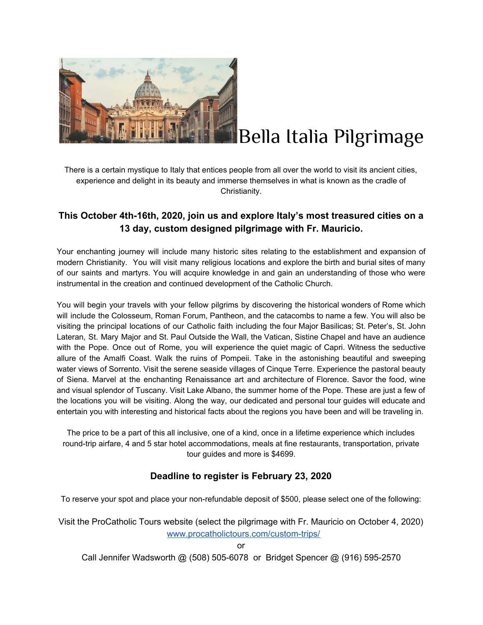

# Bella Italia Pilgrimage

There is a certain mystique to Italy that entices people from all over the world to visit its ancient cities, experience and delight in its beauty and immerse themselves in what is known as the cradle of Christianity.

### **This October 4th-16th, 2020, join us and explore Italy's most treasured cities on a 13 day, custom designed pilgrimage with Fr. Mauricio.**

Your enchanting journey will include many historic sites relating to the establishment and expansion of modern Christianity. You will visit many religious locations and explore the birth and burial sites of many of our saints and martyrs. You will acquire knowledge in and gain an understanding of those who were instrumental in the creation and continued development of the Catholic Church.

You will begin your travels with your fellow pilgrims by discovering the historical wonders of Rome which will include the Colosseum, Roman Forum, Pantheon, and the catacombs to name a few. You will also be visiting the principal locations of our Catholic faith including the four Major Basilicas; St. Peter's, St. John Lateran, St. Mary Major and St. Paul Outside the Wall, the Vatican, Sistine Chapel and have an audience with the Pope. Once out of Rome, you will experience the quiet magic of Capri. Witness the seductive allure of the Amalfi Coast. Walk the ruins of Pompeii. Take in the astonishing beautiful and sweeping water views of Sorrento. Visit the serene seaside villages of Cinque Terre. Experience the pastoral beauty of Siena. Marvel at the enchanting Renaissance art and architecture of Florence. Savor the food, wine and visual splendor of Tuscany. Visit Lake Albano, the summer home of the Pope. These are just a few of the locations you will be visiting. Along the way, our dedicated and personal tour guides will educate and entertain you with interesting and historical facts about the regions you have been and will be traveling in.

The price to be a part of this all inclusive, one of a kind, once in a lifetime experience which includes round-trip airfare, 4 and 5 star hotel accommodations, meals at fine restaurants, transportation, private tour guides and more is \$4699.

#### **Deadline to register is February 23, 2020**

To reserve your spot and place your non-refundable deposit of \$500, please select one of the following:

Visit the ProCatholic Tours website (select the pilgrimage with Fr. Mauricio on October 4, 2020) www.procatholictours.com/custom-trips/

or

Call Jennifer Wadsworth @ (508) 505-6078 or Bridget Spencer @ (916) 595-2570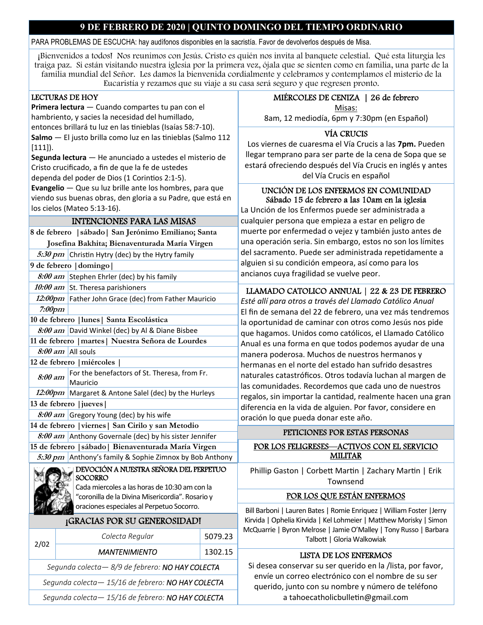#### **9 DE FEBRERO DE 2020 | QUINTO DOMINGO DEL TIEMPO ORDINARIO**

PARA PROBLEMAS DE ESCUCHA: hay audífonos disponibles en la sacristía. Favor de devolverlos después de Misa.

¡Bienvenidos a todos! Nos reunimos con Jesús. Cristo es quién nos invita al banquete celestial. Qué esta liturgia les traiga paz. Si están visitando nuestra iglesia por la primera vez, ójala que se sienten como en familia, una parte de la familia mundial del Señor. Les damos la bienvenida cordialmente y celebramos y contemplamos el misterio de la Eucaristía y rezamos que su viaje a su casa será seguro y que regresen pronto.

#### LECTURAS DE HOY

**Primera lectura** — Cuando compartes tu pan con el hambriento, y sacies la necesidad del humillado,

entonces brillará tu luz en las tinieblas (Isaías 58:7-10).

**Salmo** — El justo brilla como luz en las tinieblas (Salmo 112 [111]).

**Segunda lectura** — He anunciado a ustedes el misterio de Cristo crucificado, a fin de que la fe de ustedes

dependa del poder de Dios (1 Corintios 2:1-5).

**Evangelio** — Que su luz brille ante los hombres, para que viendo sus buenas obras, den gloria a su Padre, que está en los cielos (Mateo 5:13‐16).

#### INTENCIONES PARA LAS MISAS

**8 de febrero |sábado| San Jerónimo Emiliano; Santa Josefina Bakhita; Bienaventurada María Virgen** 

**5:30 pm** Christin Hytry (dec) by the Hytry family

|  |                        | $5.50$ $\mu$ <sub>11</sub> CHISUITITYLIY (UCC) by the Hytry R |
|--|------------------------|---------------------------------------------------------------|
|  | 9 de febrero   domingo |                                                               |
|  |                        | 8:00 am Stephen Ehrler (dec) by his family                    |
|  |                        | 10:00 am St. Theresa parishioners                             |

**12:00pm** Father John Grace (dec) from Father Mauricio **7:00pm**

**10 de febrero |lunes| Santa Escolástica** 

**8:00 am** David Winkel (dec) by Al & Diane Bisbee

**11 de febrero |martes| Nuestra Señora de Lourdes 8:00 am** All souls

**12 de febrero |miércoles |** 

**8:00 am** For the benefactors of St. Theresa, from Fr. Mauricio

12:00pm Margaret & Antone Salel (dec) by the Hurleys

**13 de febrero |jueves|** 

**8:00 am** Gregory Young (dec) by his wife

**14 de febrero |viernes| San Cirilo y san Metodio**  8:00 am Anthony Governale (dec) by his sister Jennifer

**15 de febrero |sábado| Bienaventurada María Virgen 5:30 pm** Anthony's family & Sophie Zimnox by Bob Anthony

DEVOCIÓN A NUESTRA SEÑORA DEL PERPETUO

#### SOCORRO Cada miercoles a las horas de 10:30 am con la

"coronilla de la Divina Misericordia". Rosario y oraciones especiales al Perpetuo Socorro.

# ¡GRACIAS POR SU GENEROSIDAD!

|                                                    | Colecta Regular      | 5079.23 |  |  |
|----------------------------------------------------|----------------------|---------|--|--|
| 2/02                                               | <b>MANTENIMIENTO</b> | 1302.15 |  |  |
| Segunda colecta-8/9 de febrero: NO HAY COLECTA     |                      |         |  |  |
| Segunda colecta - 15/16 de febrero: NO HAY COLECTA |                      |         |  |  |
| Segunda colecta-15/16 de febrero: NO HAY COLECTA   |                      |         |  |  |

### MIÉRCOLES DE CENIZA | 26 de febrero

Misas:

8am, 12 mediodía, 6pm y 7:30pm (en Español)

#### VÍA CRUCIS

Los viernes de cuaresma el Vía Crucis a las **7pm.** Pueden llegar temprano para ser parte de la cena de Sopa que se estará ofreciendo después del Vía Crucis en inglés y antes del Vía Crucis en español

#### UNCIÓN DE LOS ENFERMOS EN COMUNIDAD Sábado 15 de febrero a las 10am en la iglesia

La Unción de los Enfermos puede ser administrada a cualquier persona que empieza a estar en peligro de muerte por enfermedad o vejez y también justo antes de una operación seria. Sin embargo, estos no son los límites del sacramento. Puede ser administrada repetidamente a alguien si su condición empeora, así como para los ancianos cuya fragilidad se vuelve peor.

#### LLAMADO CATOLICO ANNUAL | 22 & 23 DE FEBRERO

*Esté allí para otros a través del Llamado Católico Anual*  El fin de semana del 22 de febrero, una vez más tendremos la oportunidad de caminar con otros como Jesús nos pide que hagamos. Unidos como católicos, el Llamado Católico Anual es una forma en que todos podemos ayudar de una manera poderosa. Muchos de nuestros hermanos y hermanas en el norte del estado han sufrido desastres naturales catastróficos. Otros todavía luchan al margen de las comunidades. Recordemos que cada uno de nuestros regalos, sin importar la cantidad, realmente hacen una gran diferencia en la vida de alguien. Por favor, considere en oración lo que pueda donar este año.

#### PETICIONES POR ESTAS PERSONAS

#### POR LOS FELIGRESES—ACTIVOS CON EL SERVICIO MILITAR

Phillip Gaston | Corbett Martin | Zachary Martin | Erik Townsend

#### POR LOS QUE ESTÁN ENFERMOS

Bill Barboni | Lauren Bates | Romie Enriquez | William Foster |Jerry Kirvida | Ophelia Kirvida | Kel Lohmeier | Matthew Morisky | Simon McQuarrie | Byron Melrose | Jamie O'Malley | Tony Russo | Barbara Talbott | Gloria Walkowiak

#### LISTA DE LOS ENFERMOS

Si desea conservar su ser querido en la /lista, por favor, envíe un correo electrónico con el nombre de su ser querido, junto con su nombre y número de teléfono a tahoecatholicbulletin@gmail.com